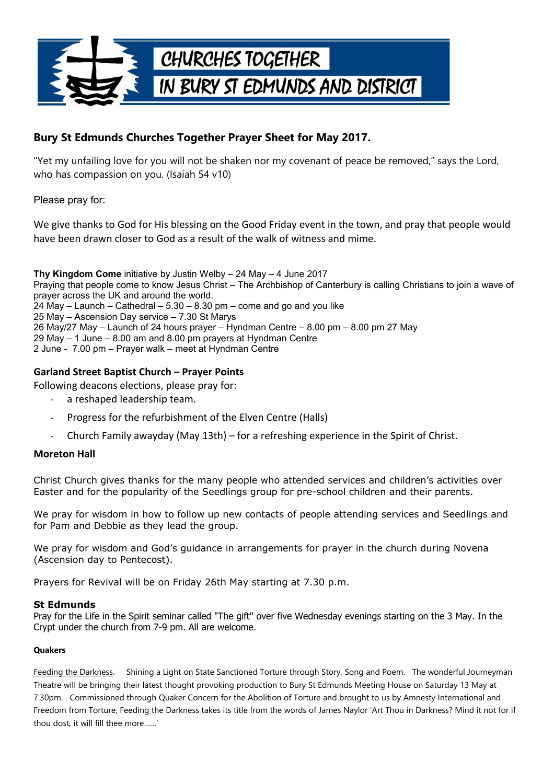

## **Bury St Edmunds Churches Together Prayer Sheet for May 2017.**

"Yet my unfailing love for you will not be shaken nor my covenant of peace be removed," says the Lord, who has compassion on you. (Isaiah 54 v10)

Please pray for:

We give thanks to God for His blessing on the Good Friday event in the town, and pray that people would have been drawn closer to God as a result of the walk of witness and mime.

**Thy Kingdom Come** initiative by Justin Welby – 24 May – 4 June 2017 Praying that people come to know Jesus Christ – The Archbishop of Canterbury is calling Christians to join a wave of prayer across the UK and around the world.  $24$  May – Launch – Cathedral – 5.30 – 8.30 pm – come and go and you like 25 May – Ascension Day service – 7.30 St Marys 26 May/27 May – Launch of 24 hours prayer – Hyndman Centre – 8.00 pm – 8.00 pm 27 May 29 May – 1 June – 8.00 am and 8.00 pm prayers at Hyndman Centre 2 June - 7.00 pm – Prayer walk – meet at Hyndman Centre

### **Garland Street Baptist Church – Prayer Points**

Following deacons elections, please pray for:

- a reshaped leadership team.
- Progress for the refurbishment of the Elven Centre (Halls)
- Church Family awayday (May 13th) for a refreshing experience in the Spirit of Christ.

#### **Moreton Hall**

Christ Church gives thanks for the many people who attended services and children's activities over Easter and for the popularity of the Seedlings group for pre-school children and their parents.

We pray for wisdom in how to follow up new contacts of people attending services and Seedlings and for Pam and Debbie as they lead the group.

We pray for wisdom and God's guidance in arrangements for prayer in the church during Novena (Ascension day to Pentecost).

Prayers for Revival will be on Friday 26th May starting at 7.30 p.m.

#### **St Edmunds**

Pray for the Life in the Spirit seminar called "The gift" over five Wednesday evenings starting on the 3 May. In the Crypt under the church from 7-9 pm. All are welcome.

#### **Quakers**

Feeding the Darkness. Shining a Light on State Sanctioned Torture through Story, Song and Poem. The wonderful Journeyman Theatre will be bringing their latest thought provoking production to Bury St Edmunds Meeting House on Saturday 13 May at 7.30pm. Commissioned through Quaker Concern for the Abolition of Torture and brought to us by Amnesty International and Freedom from Torture, Feeding the Darkness takes its title from the words of James Naylor 'Art Thou in Darkness? Mind it not for if thou dost, it will fill thee more……'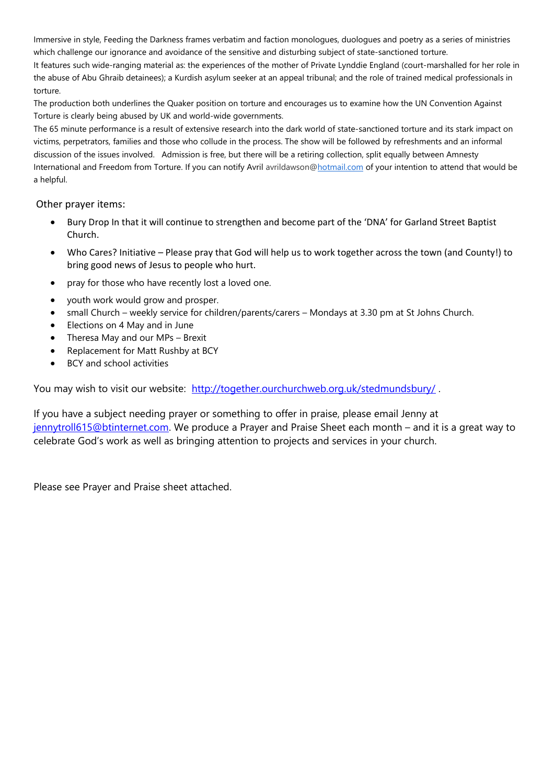Immersive in style, Feeding the Darkness frames verbatim and faction monologues, duologues and poetry as a series of ministries which challenge our ignorance and avoidance of the sensitive and disturbing subject of state-sanctioned torture.

It features such wide-ranging material as: the experiences of the mother of Private Lynddie England (court-marshalled for her role in the abuse of Abu Ghraib detainees); a Kurdish asylum seeker at an appeal tribunal; and the role of trained medical professionals in torture.

The production both underlines the Quaker position on torture and encourages us to examine how the UN Convention Against Torture is clearly being abused by UK and world-wide governments.

The 65 minute performance is a result of extensive research into the dark world of state-sanctioned torture and its stark impact on victims, perpetrators, families and those who collude in the process. The show will be followed by refreshments and an informal discussion of the issues involved. Admission is free, but there will be a retiring collection, split equally between Amnesty International and Freedom from Torture. If you can notify Avril avrildawson[@hotmail.com](http://hotmail.com/) of your intention to attend that would be a helpful.

Other prayer items:

- Bury Drop In that it will continue to strengthen and become part of the 'DNA' for Garland Street Baptist Church.
- Who Cares? Initiative Please pray that God will help us to work together across the town (and County!) to bring good news of Jesus to people who hurt.
- pray for those who have recently lost a loved one.
- youth work would grow and prosper.
- small Church weekly service for children/parents/carers Mondays at 3.30 pm at St Johns Church.
- Elections on 4 May and in June
- Theresa May and our MPs Brexit
- Replacement for Matt Rushby at BCY
- BCY and school activities

You may wish to visit our website: http://together.ourchurchweb.org.uk/stedmundsbury/.

If you have a subject needing prayer or something to offer in praise, please email Jenny at [jennytroll615@btinternet.com.](mailto:jennytroll615@btinternet.com) We produce a Prayer and Praise Sheet each month – and it is a great way to celebrate God's work as well as bringing attention to projects and services in your church.

Please see Prayer and Praise sheet attached.